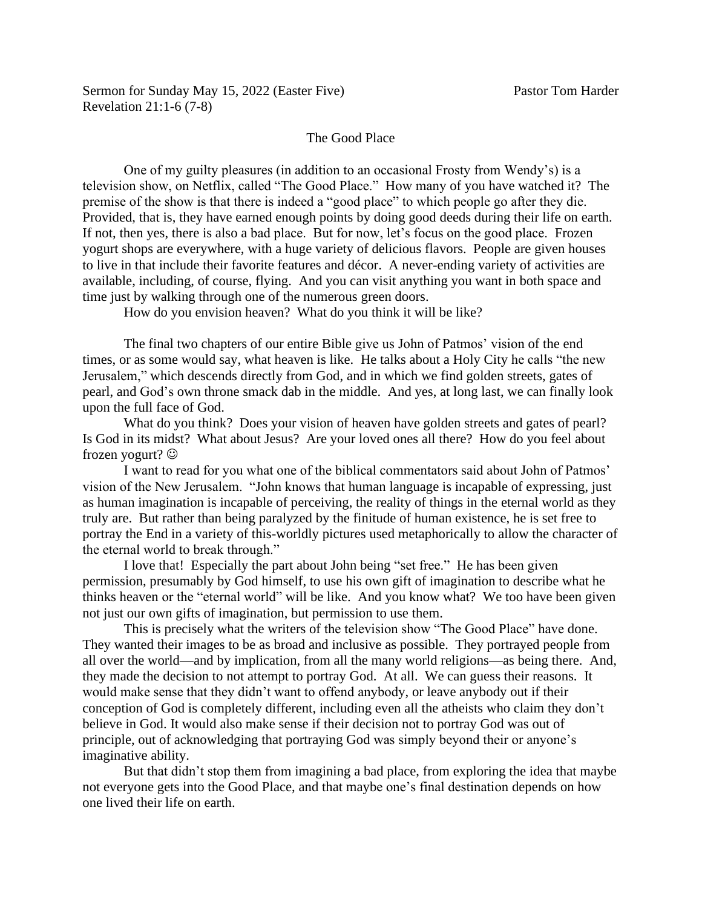## The Good Place

One of my guilty pleasures (in addition to an occasional Frosty from Wendy's) is a television show, on Netflix, called "The Good Place." How many of you have watched it? The premise of the show is that there is indeed a "good place" to which people go after they die. Provided, that is, they have earned enough points by doing good deeds during their life on earth. If not, then yes, there is also a bad place. But for now, let's focus on the good place. Frozen yogurt shops are everywhere, with a huge variety of delicious flavors. People are given houses to live in that include their favorite features and décor. A never-ending variety of activities are available, including, of course, flying. And you can visit anything you want in both space and time just by walking through one of the numerous green doors.

How do you envision heaven? What do you think it will be like?

The final two chapters of our entire Bible give us John of Patmos' vision of the end times, or as some would say, what heaven is like. He talks about a Holy City he calls "the new Jerusalem," which descends directly from God, and in which we find golden streets, gates of pearl, and God's own throne smack dab in the middle. And yes, at long last, we can finally look upon the full face of God.

What do you think? Does your vision of heaven have golden streets and gates of pearl? Is God in its midst? What about Jesus? Are your loved ones all there? How do you feel about frozen yogurt? ☺

I want to read for you what one of the biblical commentators said about John of Patmos' vision of the New Jerusalem. "John knows that human language is incapable of expressing, just as human imagination is incapable of perceiving, the reality of things in the eternal world as they truly are. But rather than being paralyzed by the finitude of human existence, he is set free to portray the End in a variety of this-worldly pictures used metaphorically to allow the character of the eternal world to break through."

I love that! Especially the part about John being "set free." He has been given permission, presumably by God himself, to use his own gift of imagination to describe what he thinks heaven or the "eternal world" will be like. And you know what? We too have been given not just our own gifts of imagination, but permission to use them.

This is precisely what the writers of the television show "The Good Place" have done. They wanted their images to be as broad and inclusive as possible. They portrayed people from all over the world—and by implication, from all the many world religions—as being there. And, they made the decision to not attempt to portray God. At all. We can guess their reasons. It would make sense that they didn't want to offend anybody, or leave anybody out if their conception of God is completely different, including even all the atheists who claim they don't believe in God. It would also make sense if their decision not to portray God was out of principle, out of acknowledging that portraying God was simply beyond their or anyone's imaginative ability.

But that didn't stop them from imagining a bad place, from exploring the idea that maybe not everyone gets into the Good Place, and that maybe one's final destination depends on how one lived their life on earth.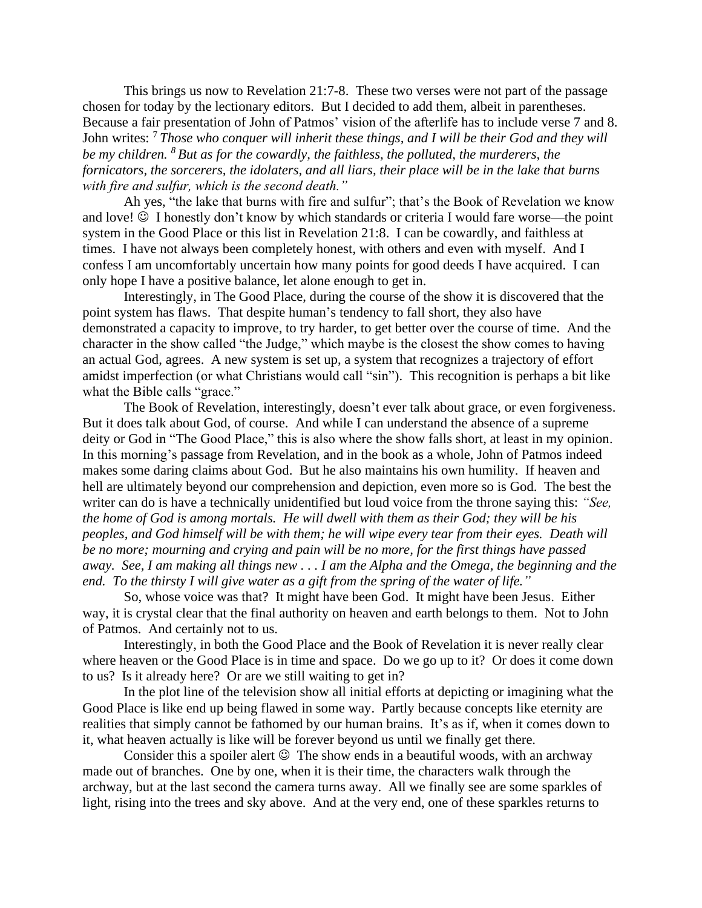This brings us now to Revelation 21:7-8. These two verses were not part of the passage chosen for today by the lectionary editors. But I decided to add them, albeit in parentheses. Because a fair presentation of John of Patmos' vision of the afterlife has to include verse 7 and 8. John writes: <sup>7</sup> *Those who conquer will inherit these things, and I will be their God and they will be my children. <sup>8</sup> But as for the cowardly, the faithless, the polluted, the murderers, the fornicators, the sorcerers, the idolaters, and all liars, their place will be in the lake that burns with fire and sulfur, which is the second death."*

Ah yes, "the lake that burns with fire and sulfur"; that's the Book of Revelation we know and love!  $\odot$  I honestly don't know by which standards or criteria I would fare worse—the point system in the Good Place or this list in Revelation 21:8. I can be cowardly, and faithless at times. I have not always been completely honest, with others and even with myself. And I confess I am uncomfortably uncertain how many points for good deeds I have acquired. I can only hope I have a positive balance, let alone enough to get in.

Interestingly, in The Good Place, during the course of the show it is discovered that the point system has flaws. That despite human's tendency to fall short, they also have demonstrated a capacity to improve, to try harder, to get better over the course of time. And the character in the show called "the Judge," which maybe is the closest the show comes to having an actual God, agrees. A new system is set up, a system that recognizes a trajectory of effort amidst imperfection (or what Christians would call "sin"). This recognition is perhaps a bit like what the Bible calls "grace."

The Book of Revelation, interestingly, doesn't ever talk about grace, or even forgiveness. But it does talk about God, of course. And while I can understand the absence of a supreme deity or God in "The Good Place," this is also where the show falls short, at least in my opinion. In this morning's passage from Revelation, and in the book as a whole, John of Patmos indeed makes some daring claims about God. But he also maintains his own humility. If heaven and hell are ultimately beyond our comprehension and depiction, even more so is God. The best the writer can do is have a technically unidentified but loud voice from the throne saying this: *"See, the home of God is among mortals. He will dwell with them as their God; they will be his peoples, and God himself will be with them; he will wipe every tear from their eyes. Death will be no more; mourning and crying and pain will be no more, for the first things have passed away. See, I am making all things new . . . I am the Alpha and the Omega, the beginning and the end. To the thirsty I will give water as a gift from the spring of the water of life."*

So, whose voice was that? It might have been God. It might have been Jesus. Either way, it is crystal clear that the final authority on heaven and earth belongs to them. Not to John of Patmos. And certainly not to us.

Interestingly, in both the Good Place and the Book of Revelation it is never really clear where heaven or the Good Place is in time and space. Do we go up to it? Or does it come down to us? Is it already here? Or are we still waiting to get in?

In the plot line of the television show all initial efforts at depicting or imagining what the Good Place is like end up being flawed in some way. Partly because concepts like eternity are realities that simply cannot be fathomed by our human brains. It's as if, when it comes down to it, what heaven actually is like will be forever beyond us until we finally get there.

Consider this a spoiler alert  $\odot$  The show ends in a beautiful woods, with an archway made out of branches. One by one, when it is their time, the characters walk through the archway, but at the last second the camera turns away. All we finally see are some sparkles of light, rising into the trees and sky above. And at the very end, one of these sparkles returns to